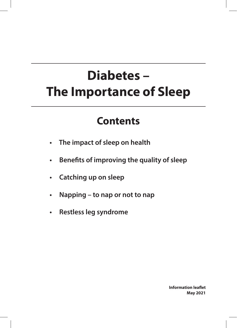# **Diabetes – The Importance of Sleep**

## **Contents**

- **The impact of sleep on health**
- **Benefits of improving the quality of sleep**
- **Catching up on sleep**
- **Napping to nap or not to nap**
- **Restless leg syndrome**

**Information leaflet May 2021**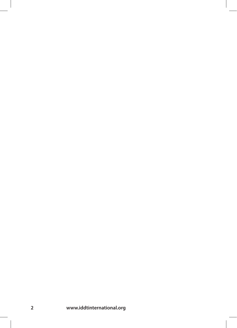**www.iddtinternational.org**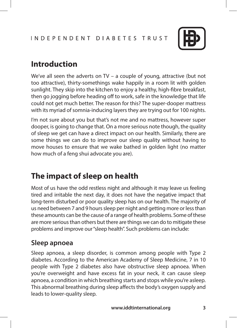INDEPENDENT DIABETES TRUST



## **Introduction**

We've all seen the adverts on TV – a couple of young, attractive (but not too attractive), thirty-somethings wake happily in a room lit with golden sunlight. They skip into the kitchen to enjoy a healthy, high-fibre breakfast, then go jogging before heading off to work, safe in the knowledge that life could not get much better. The reason for this? The super-dooper mattress with its myriad of somnia-inducing layers they are trying out for 100 nights.

I'm not sure about you but that's not me and no mattress, however super dooper, is going to change that. On a more serious note though, the quality of sleep we get can have a direct impact on our health. Similarly, there are some things we can do to improve our sleep quality without having to move houses to ensure that we wake bathed in golden light (no matter how much of a feng shui advocate you are).

## **The impact of sleep on health**

Most of us have the odd restless night and although it may leave us feeling tired and irritable the next day, it does not have the negative impact that long-term disturbed or poor quality sleep has on our health. The majority of us need between 7 and 9 hours sleep per night and getting more or less than these amounts can be the cause of a range of health problems. Some of these are more serious than others but there are things we can do to mitigate these problems and improve our "sleep health". Such problems can include:

#### **Sleep apnoea**

Sleep apnoea, a sleep disorder, is common among people with Type 2 diabetes. According to the American Academy of Sleep Medicine, 7 in 10 people with Type 2 diabetes also have obstructive sleep apnoea. When you're overweight and have excess fat in your neck, it can cause sleep apnoea, a condition in which breathing starts and stops while you're asleep. This abnormal breathing during sleep affects the body's oxygen supply and leads to lower-quality sleep.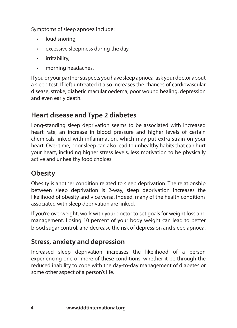Symptoms of sleep apnoea include:

- loud snoring,
- excessive sleepiness during the day,
- irritability,
- morning headaches.

If you or your partner suspects you have sleep apnoea, ask your doctor about a sleep test. If left untreated it also increases the chances of cardiovascular disease, stroke, diabetic macular oedema, poor wound healing, depression and even early death.

#### **Heart disease and Type 2 diabetes**

Long-standing sleep deprivation seems to be associated with increased heart rate, an increase in blood pressure and higher levels of certain chemicals linked with inflammation, which may put extra strain on your heart. Over time, poor sleep can also lead to unhealthy habits that can hurt your heart, including higher stress levels, less motivation to be physically active and unhealthy food choices.

### **Obesity**

Obesity is another condition related to sleep deprivation. The relationship between sleep deprivation is 2-way, sleep deprivation increases the likelihood of obesity and vice versa. Indeed, many of the health conditions associated with sleep deprivation are linked.

If you're overweight, work with your doctor to set goals for weight loss and management. Losing 10 percent of your body weight can lead to better blood sugar control, and decrease the risk of depression and sleep apnoea.

#### **Stress, anxiety and depression**

Increased sleep deprivation increases the likelihood of a person experiencing one or more of these conditions, whether it be through the reduced inability to cope with the day-to-day management of diabetes or some other aspect of a person's life.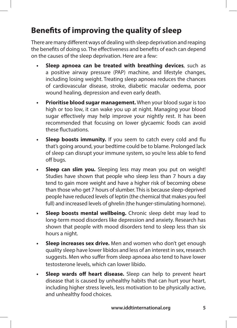## **Benefits of improving the quality of sleep**

There are many different ways of dealing with sleep deprivation and reaping the benefits of doing so. The effectiveness and benefits of each can depend on the causes of the sleep deprivation. Here are a few:

- **• Sleep apnoea can be treated with breathing devices**, such as a positive airway pressure (PAP) machine, and lifestyle changes, including losing weight. Treating sleep apnoea reduces the chances of cardiovascular disease, stroke, diabetic macular oedema, poor wound healing, depression and even early death.
- **• Prioritise blood sugar management.** When your blood sugar is too high or too low, it can wake you up at night. Managing your blood sugar effectively may help improve your nightly rest. It has been recommended that focusing on lower glycaemic foods can avoid these fluctuations.
- **Sleep boosts immunity.** If you seem to catch every cold and flu that's going around, your bedtime could be to blame. Prolonged lack of sleep can disrupt your immune system, so you're less able to fend off bugs.
- **Sleep can slim you.** Sleeping less may mean you put on weight! Studies have shown that people who sleep less than 7 hours a day tend to gain more weight and have a higher risk of becoming obese than those who get 7 hours of slumber. This is because sleep-deprived people have reduced levels of leptin (the chemical that makes you feel full) and increased levels of ghrelin (the hunger-stimulating hormone).
- **• Sleep boosts mental wellbeing.** Chronic sleep debt may lead to long-term mood disorders like depression and anxiety. Research has shown that people with mood disorders tend to sleep less than six hours a night.
- **• Sleep increases sex drive.** Men and women who don't get enough quality sleep have lower libidos and less of an interest in sex, research suggests. Men who suffer from sleep apnoea also tend to have lower testosterone levels, which can lower libido.
- **• Sleep wards off heart disease.** Sleep can help to prevent heart disease that is caused by unhealthy habits that can hurt your heart, including higher stress levels, less motivation to be physically active, and unhealthy food choices.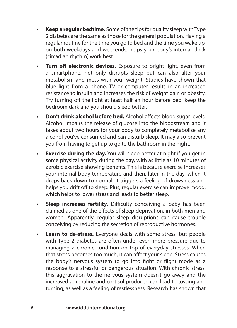- **• Keep a regular bedtime.** Some of the tips for quality sleep with Type 2 diabetes are the same as those for the general population. Having a regular routine for the time you go to bed and the time you wake up, on both weekdays and weekends, helps your body's internal clock (circadian rhythm) work best.
- **Turn off electronic devices.** Exposure to bright light, even from a smartphone, not only disrupts sleep but can also alter your metabolism and mess with your weight. Studies have shown that blue light from a phone, TV or computer results in an increased resistance to insulin and increases the risk of weight gain or obesity. Try turning off the light at least half an hour before bed, keep the bedroom dark and you should sleep better.
- **• Don't drink alcohol before bed.** Alcohol affects blood sugar levels. Alcohol impairs the release of glucose into the bloodstream and it takes about two hours for your body to completely metabolise any alcohol you've consumed and can disturb sleep. It may also prevent you from having to get up to go to the bathroom in the night.
- **Exercise during the day.** You will sleep better at night if you get in some physical activity during the day, with as little as 10 minutes of aerobic exercise showing benefits. This is because exercise increases your internal body temperature and then, later in the day, when it drops back down to normal, it triggers a feeling of drowsiness and helps you drift off to sleep. Plus, regular exercise can improve mood, which helps to lower stress and leads to better sleep.
- **• Sleep increases fertility.** Difficulty conceiving a baby has been claimed as one of the effects of sleep deprivation, in both men and women. Apparently, regular sleep disruptions can cause trouble conceiving by reducing the secretion of reproductive hormones.
- **• Learn to de-stress.** Everyone deals with some stress, but people with Type 2 diabetes are often under even more pressure due to managing a chronic condition on top of everyday stresses. When that stress becomes too much, it can affect your sleep. Stress causes the body's nervous system to go into fight or flight mode as a response to a stressful or dangerous situation. With chronic stress, this aggravation to the nervous system doesn't go away and the increased adrenaline and cortisol produced can lead to tossing and turning, as well as a feeling of restlessness. Research has shown that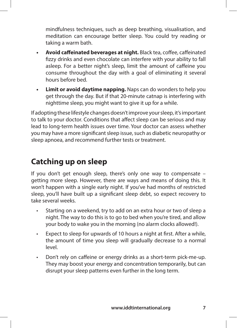mindfulness techniques, such as deep breathing, visualisation, and meditation can encourage better sleep. You could try reading or taking a warm bath.

- **• Avoid caffeinated beverages at night.** Black tea, coffee, caffeinated fizzy drinks and even chocolate can interfere with your ability to fall asleep. For a better night's sleep, limit the amount of caffeine you consume throughout the day with a goal of eliminating it several hours before bed.
- **• Limit or avoid daytime napping.** Naps can do wonders to help you get through the day. But if that 20-minute catnap is interfering with nighttime sleep, you might want to give it up for a while.

If adopting these lifestyle changes doesn't improve your sleep, it's important to talk to your doctor. Conditions that affect sleep can be serious and may lead to long-term health issues over time. Your doctor can assess whether you may have a more significant sleep issue, such as diabetic neuropathy or sleep apnoea, and recommend further tests or treatment.

## **Catching up on sleep**

If you don't get enough sleep, there's only one way to compensate – getting more sleep. However, there are ways and means of doing this. It won't happen with a single early night. If you've had months of restricted sleep, you'll have built up a significant sleep debt, so expect recovery to take several weeks.

- Starting on a weekend, try to add on an extra hour or two of sleep a night. The way to do this is to go to bed when you're tired, and allow your body to wake you in the morning (no alarm clocks allowed!).
- Expect to sleep for upwards of 10 hours a night at first. After a while, the amount of time you sleep will gradually decrease to a normal level.
- Don't rely on caffeine or energy drinks as a short-term pick-me-up. They may boost your energy and concentration temporarily, but can disrupt your sleep patterns even further in the long term.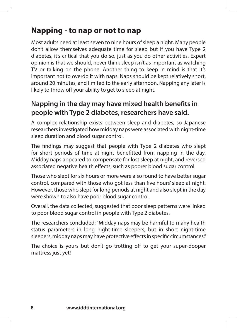## **Napping - to nap or not to nap**

Most adults need at least seven to nine hours of sleep a night. Many people don't allow themselves adequate time for sleep but if you have Type 2 diabetes, it's critical that you do so, just as you do other activities. Expert opinion is that we should, never think sleep isn't as important as watching TV or talking on the phone. Another thing to keep in mind is that it's important not to overdo it with naps. Naps should be kept relatively short, around 20 minutes, and limited to the early afternoon. Napping any later is likely to throw off your ability to get to sleep at night.

#### **Napping in the day may have mixed health benefits in people with Type 2 diabetes, researchers have said.**

A complex relationship exists between sleep and diabetes, so Japanese researchers investigated how midday naps were associated with night-time sleep duration and blood sugar control.

The findings may suggest that people with Type 2 diabetes who slept for short periods of time at night benefitted from napping in the day. Midday naps appeared to compensate for lost sleep at night, and reversed associated negative health effects, such as poorer blood sugar control.

Those who slept for six hours or more were also found to have better sugar control, compared with those who got less than five hours' sleep at night. However, those who slept for long periods at night and also slept in the day were shown to also have poor blood sugar control.

Overall, the data collected, suggested that poor sleep patterns were linked to poor blood sugar control in people with Type 2 diabetes.

The researchers concluded: "Midday naps may be harmful to many health status parameters in long night-time sleepers, but in short night-time sleepers, midday naps may have protective effects in specific circumstances."

The choice is yours but don't go trotting off to get your super-dooper mattress just yet!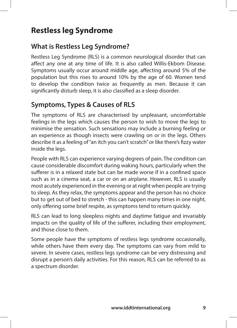## **Restless leg Syndrome**

#### **What is Restless Leg Syndrome?**

Restless Leg Syndrome (RLS) is a common neurological disorder that can affect any one at any time of life. It is also called Willis-Ekbom Disease. Symptoms usually occur around middle age, affecting around 5% of the population but this rises to around 10% by the age of 60. Women tend to develop the condition twice as frequently as men. Because it can significantly disturb sleep, it is also classified as a sleep disorder.

#### **Symptoms, Types & Causes of RLS**

The symptoms of RLS are characterised by unpleasant, uncomfortable feelings in the legs which causes the person to wish to move the legs to minimise the sensation. Such sensations may include a burning feeling or an experience as though insects were crawling on or in the legs. Others describe it as a feeling of "an itch you can't scratch" or like there's fizzy water inside the legs.

People with RLS can experience varying degrees of pain. The condition can cause considerable discomfort during waking hours, particularly when the sufferer is in a relaxed state but can be made worse if in a confined space such as in a cinema seat, a car or on an airplane. However, RLS is usually most acutely experienced in the evening or at night when people are trying to sleep. As they relax, the symptoms appear and the person has no choice but to get out of bed to stretch - this can happen many times in one night, only offering some brief respite, as symptoms tend to return quickly.

RLS can lead to long sleepless nights and daytime fatigue and invariably impacts on the quality of life of the sufferer, including their employment, and those close to them.

Some people have the symptoms of restless legs syndrome occasionally, while others have them every day. The symptoms can vary from mild to severe. In severe cases, restless legs syndrome can be very distressing and disrupt a person's daily activities. For this reason, RLS can be referred to as a spectrum disorder.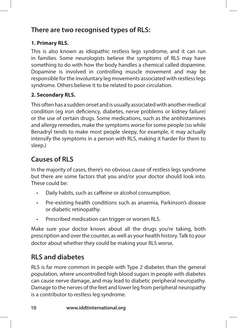### **There are two recognised types of RLS:**

#### **1. Primary RLS.**

This is also known as idiopathic restless legs syndrome, and it can run in families. Some neurologists believe the symptoms of RLS may have something to do with how the body handles a chemical called dopamine. Dopamine is involved in controlling muscle movement and may be responsible for the involuntary leg movements associated with restless legs syndrome. Others believe it to be related to poor circulation.

#### **2. Secondary RLS.**

This often has a sudden onset and is usually associated with another medical condition (eg iron deficiency, diabetes, nerve problems or kidney failure) or the use of certain drugs. Some medications, such as the antihistamines and allergy remedies, make the symptoms worse for some people (so while Benadryl tends to make most people sleepy, for example, it may actually intensify the symptoms in a person with RLS, making it harder for them to sleep.)

### **Causes of RLS**

In the majority of cases, there's no obvious cause of restless legs syndrome but there are some factors that you and/or your doctor should look into. These could be:

- Daily habits, such as caffeine or alcohol consumption.
- Pre-existing health conditions such as anaemia, Parkinson's disease or diabetic retinopathy.
- Prescribed medication can trigger or worsen RLS.

Make sure your doctor knows about all the drugs you're taking, both prescription and over the counter, as well as your health history. Talk to your doctor about whether they could be making your RLS worse,

#### **RLS and diabetes**

RLS is far more common in people with Type 2 diabetes than the general population, where uncontrolled high blood sugars in people with diabetes can cause nerve damage, and may lead to diabetic peripheral neuropathy. Damage to the nerves of the feet and lower leg from peripheral neuropathy is a contributor to restless leg syndrome.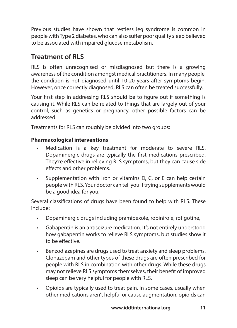Previous studies have shown that restless leg syndrome is common in people with Type 2 diabetes, who can also suffer poor quality sleep believed to be associated with impaired glucose metabolism.

### **Treatment of RLS**

RLS is often unrecognised or misdiagnosed but there is a growing awareness of the condition amongst medical practitioners. In many people, the condition is not diagnosed until 10-20 years after symptoms begin. However, once correctly diagnosed, RLS can often be treated successfully.

Your first step in addressing RLS should be to figure out if something is causing it. While RLS can be related to things that are largely out of your control, such as genetics or pregnancy, other possible factors can be addressed.

Treatments for RLS can roughly be divided into two groups:

#### **Pharmacological interventions**

- Medication is a key treatment for moderate to severe RLS. Dopaminergic drugs are typically the first medications prescribed. They're effective in relieving RLS symptoms, but they can cause side effects and other problems.
- Supplementation with iron or vitamins D, C, or E can help certain people with RLS. Your doctor can tell you if trying supplements would be a good idea for you.

Several classifications of drugs have been found to help with RLS. These include:

- Dopaminergic drugs including pramipexole, ropinirole, rotigotine,
- Gabapentin is an antiseizure medication. It's not entirely understood how gabapentin works to relieve RLS symptoms, but studies show it to be effective.
- Benzodiazepines are drugs used to treat anxiety and sleep problems. Clonazepam and other types of these drugs are often prescribed for people with RLS in combination with other drugs. While these drugs may not relieve RLS symptoms themselves, their benefit of improved sleep can be very helpful for people with RLS.
- Opioids are typically used to treat pain. In some cases, usually when other medications aren't helpful or cause augmentation, opioids can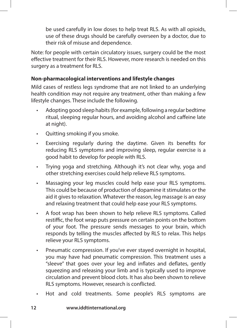be used carefully in low doses to help treat RLS. As with all opioids, use of these drugs should be carefully overseen by a doctor, due to their risk of misuse and dependence.

Note: for people with certain circulatory issues, surgery could be the most effective treatment for their RLS. However, more research is needed on this surgery as a treatment for RLS.

#### **Non-pharmacological interventions and lifestyle changes**

Mild cases of restless legs syndrome that are not linked to an underlying health condition may not require any treatment, other than making a few lifestyle changes. These include the following.

- Adopting good sleep habits (for example, following a regular bedtime ritual, sleeping regular hours, and avoiding alcohol and caffeine late at night).
- Quitting smoking if you smoke.
- Exercising regularly during the daytime. Given its benefits for reducing RLS symptoms and improving sleep, regular exercise is a good habit to develop for people with RLS.
- Trying yoga and stretching. Although it's not clear why, yoga and other stretching exercises could help relieve RLS symptoms.
- Massaging your leg muscles could help ease your RLS symptoms. This could be because of production of dopamine it stimulates or the aid it gives to relaxation. Whatever the reason, leg massage is an easy and relaxing treatment that could help ease your RLS symptoms.
- A foot wrap has been shown to help relieve RLS symptoms. Called restiffic, the foot wrap puts pressure on certain points on the bottom of your foot. The pressure sends messages to your brain, which responds by telling the muscles affected by RLS to relax. This helps relieve your RLS symptoms.
- Pneumatic compression. If you've ever stayed overnight in hospital, you may have had pneumatic compression. This treatment uses a "sleeve" that goes over your leg and inflates and deflates, gently squeezing and releasing your limb and is typically used to improve circulation and prevent blood clots. It has also been shown to relieve RLS symptoms. However, research is conflicted.
- Hot and cold treatments. Some people's RLS symptoms are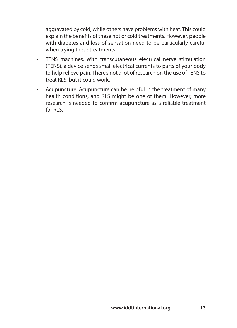aggravated by cold, while others have problems with heat. This could explain the benefits of these hot or cold treatments. However, people with diabetes and loss of sensation need to be particularly careful when trying these treatments.

- TENS machines. With transcutaneous electrical nerve stimulation (TENS), a device sends small electrical currents to parts of your body to help relieve pain. There's not a lot of research on the use of TENS to treat RLS, but it could work.
- Acupuncture. Acupuncture can be helpful in the treatment of many health conditions, and RLS might be one of them. However, more research is needed to confirm acupuncture as a reliable treatment for RLS.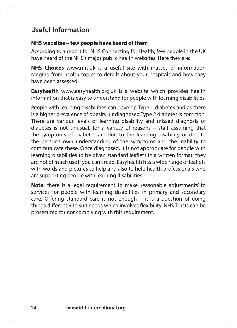## **Useful Information**

#### **NHS websites – few people have heard of them**

According to a report for NHS Connecting for Health, few people in the UK have heard of the NHS's major public health websites. Here they are:

**NHS Choices** www.nhs.uk is a useful site with masses of information ranging from health topics to details about your hospitals and how they have been assessed.

**Easyhealth** www.easyhealth.org.uk is a website which provides health information that is easy to understand for people with learning disabilities.

People with learning disabilities can develop Type 1 diabetes and as there is a higher prevalence of obesity, undiagnosed Type 2 diabetes is common. There are various levels of learning disability and missed diagnosis of diabetes is not unusual, for a variety of reasons – staff assuming that the symptoms of diabetes are due to the learning disability or due to the person's own understanding of the symptoms and the inability to communicate these. Once diagnosed, it is not appropriate for people with learning disabilities to be given standard leaflets in a written format, they are not of much use if you can't read. Easyhealth has a wide range of leaflets with words and pictures to help and also to help health professionals who are supporting people with learning disabilities.

**Note:** there is a legal requirement to make 'reasonable adjustments' to services for people with learning disabilities in primary and secondary care. Offering standard care is not enough – it is a question of doing things differently to suit needs which involves flexibility. NHS Trusts can be prosecuted for not complying with this requirement.